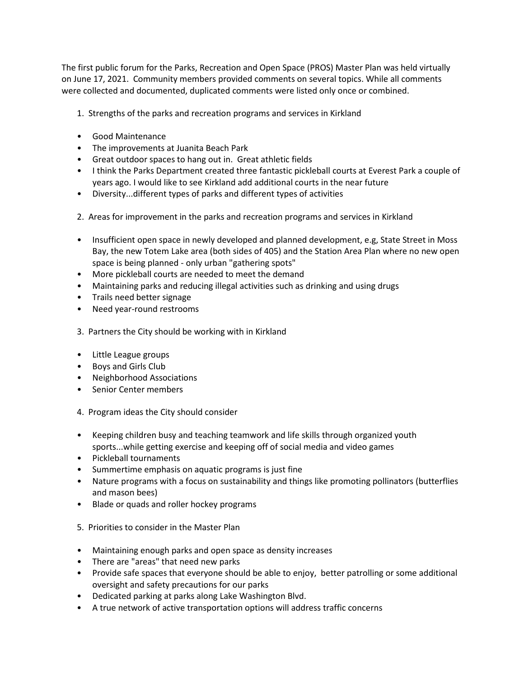The first public forum for the Parks, Recreation and Open Space (PROS) Master Plan was held virtually on June 17, 2021. Community members provided comments on several topics. While all comments were collected and documented, duplicated comments were listed only once or combined.

- 1. Strengths of the parks and recreation programs and services in Kirkland
- Good Maintenance
- The improvements at Juanita Beach Park
- Great outdoor spaces to hang out in. Great athletic fields
- I think the Parks Department created three fantastic pickleball courts at Everest Park a couple of years ago. I would like to see Kirkland add additional courts in the near future
- Diversity...different types of parks and different types of activities
- 2. Areas for improvement in the parks and recreation programs and services in Kirkland
- Insufficient open space in newly developed and planned development, e.g, State Street in Moss Bay, the new Totem Lake area (both sides of 405) and the Station Area Plan where no new open space is being planned - only urban "gathering spots"
- More pickleball courts are needed to meet the demand
- Maintaining parks and reducing illegal activities such as drinking and using drugs
- Trails need better signage
- Need year-round restrooms
- 3. Partners the City should be working with in Kirkland
- Little League groups
- Boys and Girls Club
- Neighborhood Associations
- Senior Center members
- 4. Program ideas the City should consider
- Keeping children busy and teaching teamwork and life skills through organized youth sports...while getting exercise and keeping off of social media and video games
- Pickleball tournaments
- Summertime emphasis on aquatic programs is just fine
- Nature programs with a focus on sustainability and things like promoting pollinators (butterflies and mason bees)
- Blade or quads and roller hockey programs
- 5. Priorities to consider in the Master Plan
- Maintaining enough parks and open space as density increases
- There are "areas" that need new parks
- Provide safe spaces that everyone should be able to enjoy, better patrolling or some additional oversight and safety precautions for our parks
- Dedicated parking at parks along Lake Washington Blvd.
- A true network of active transportation options will address traffic concerns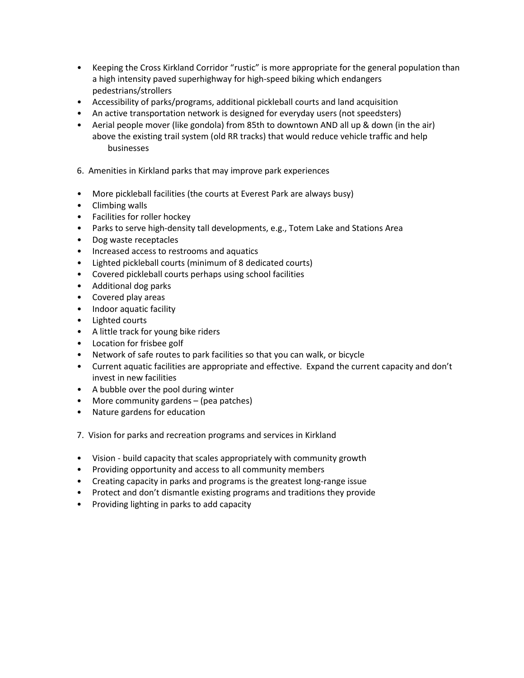- Keeping the Cross Kirkland Corridor "rustic" is more appropriate for the general population than a high intensity paved superhighway for high-speed biking which endangers pedestrians/strollers
- Accessibility of parks/programs, additional pickleball courts and land acquisition
- An active transportation network is designed for everyday users (not speedsters)
- Aerial people mover (like gondola) from 85th to downtown AND all up & down (in the air) above the existing trail system (old RR tracks) that would reduce vehicle traffic and help businesses
- 6. Amenities in Kirkland parks that may improve park experiences
- More pickleball facilities (the courts at Everest Park are always busy)
- Climbing walls
- Facilities for roller hockey
- Parks to serve high-density tall developments, e.g., Totem Lake and Stations Area
- Dog waste receptacles
- Increased access to restrooms and aquatics
- Lighted pickleball courts (minimum of 8 dedicated courts)
- Covered pickleball courts perhaps using school facilities
- Additional dog parks
- Covered play areas
- Indoor aquatic facility
- Lighted courts
- A little track for young bike riders
- Location for frisbee golf
- Network of safe routes to park facilities so that you can walk, or bicycle
- Current aquatic facilities are appropriate and effective. Expand the current capacity and don't invest in new facilities
- A bubble over the pool during winter
- More community gardens (pea patches)
- Nature gardens for education
- 7. Vision for parks and recreation programs and services in Kirkland
- Vision build capacity that scales appropriately with community growth
- Providing opportunity and access to all community members
- Creating capacity in parks and programs is the greatest long-range issue
- Protect and don't dismantle existing programs and traditions they provide
- Providing lighting in parks to add capacity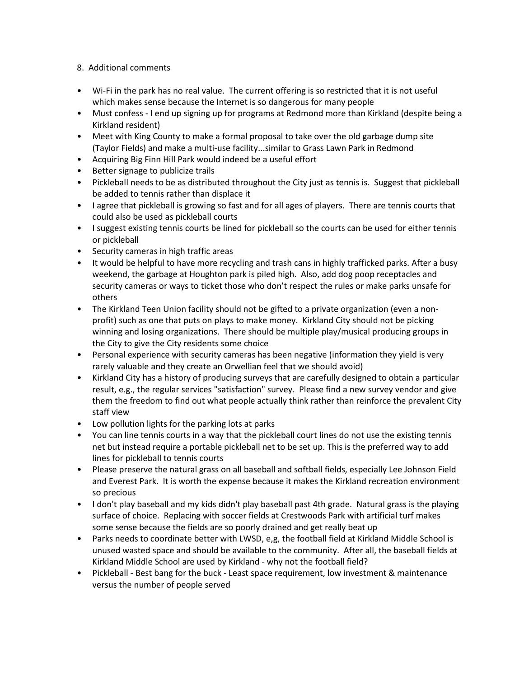## 8. Additional comments

- Wi-Fi in the park has no real value. The current offering is so restricted that it is not useful which makes sense because the Internet is so dangerous for many people
- Must confess I end up signing up for programs at Redmond more than Kirkland (despite being a Kirkland resident)
- Meet with King County to make a formal proposal to take over the old garbage dump site (Taylor Fields) and make a multi-use facility...similar to Grass Lawn Park in Redmond
- Acquiring Big Finn Hill Park would indeed be a useful effort
- Better signage to publicize trails
- Pickleball needs to be as distributed throughout the City just as tennis is. Suggest that pickleball be added to tennis rather than displace it
- I agree that pickleball is growing so fast and for all ages of players. There are tennis courts that could also be used as pickleball courts
- I suggest existing tennis courts be lined for pickleball so the courts can be used for either tennis or pickleball
- Security cameras in high traffic areas
- It would be helpful to have more recycling and trash cans in highly trafficked parks. After a busy weekend, the garbage at Houghton park is piled high. Also, add dog poop receptacles and security cameras or ways to ticket those who don't respect the rules or make parks unsafe for others
- The Kirkland Teen Union facility should not be gifted to a private organization (even a nonprofit) such as one that puts on plays to make money. Kirkland City should not be picking winning and losing organizations. There should be multiple play/musical producing groups in the City to give the City residents some choice
- Personal experience with security cameras has been negative (information they yield is very rarely valuable and they create an Orwellian feel that we should avoid)
- Kirkland City has a history of producing surveys that are carefully designed to obtain a particular result, e.g., the regular services "satisfaction" survey. Please find a new survey vendor and give them the freedom to find out what people actually think rather than reinforce the prevalent City staff view
- Low pollution lights for the parking lots at parks
- You can line tennis courts in a way that the pickleball court lines do not use the existing tennis net but instead require a portable pickleball net to be set up. This is the preferred way to add lines for pickleball to tennis courts
- Please preserve the natural grass on all baseball and softball fields, especially Lee Johnson Field and Everest Park. It is worth the expense because it makes the Kirkland recreation environment so precious
- I don't play baseball and my kids didn't play baseball past 4th grade. Natural grass is the playing surface of choice. Replacing with soccer fields at Crestwoods Park with artificial turf makes some sense because the fields are so poorly drained and get really beat up
- Parks needs to coordinate better with LWSD, e,g, the football field at Kirkland Middle School is unused wasted space and should be available to the community. After all, the baseball fields at Kirkland Middle School are used by Kirkland - why not the football field?
- Pickleball Best bang for the buck Least space requirement, low investment & maintenance versus the number of people served